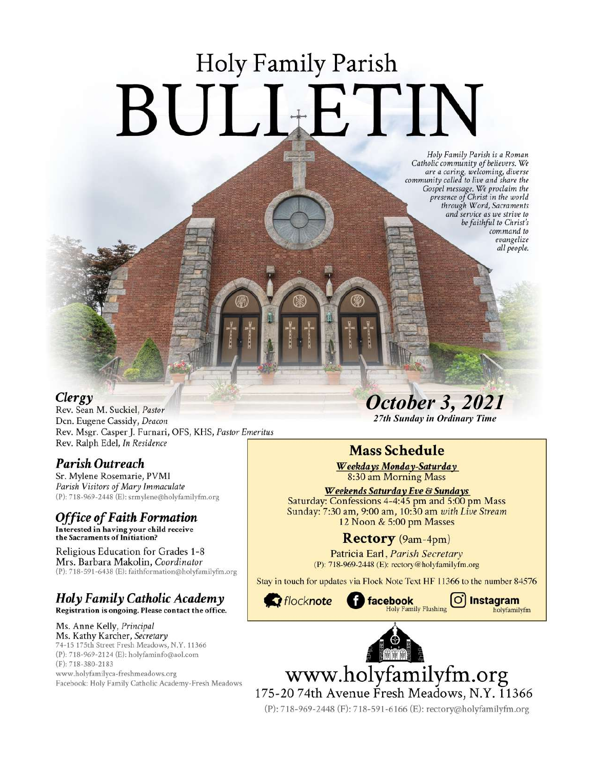# **Holy Family Parish** BULLETIN

Holy Family Parish is a Roman<br>Catholic community of believers. We and a caring, welcoming, diverse<br>community called to live and share the<br>Gospel message. We proclaim the<br>presence of Christ in the world through Word, Sacraments and service as we strive to be faithful to Christ's command to evangelize all people.

#### Clergy

Rev. Sean M. Suckiel, Pastor Dcn. Eugene Cassidy, Deacon Rev. Msgr. Casper J. Furnari, OFS, KHS, Pastor Emeritus Rev. Ralph Edel, In Residence

#### Parish Outreach

Sr. Mylene Rosemarie, PVMI Parish Visitors of Mary Immaculate (P): 718-969-2448 (E): srmylene@holyfamilyfm.org

# **Office of Faith Formation**

Interested in having your child receive<br>the Sacraments of Initiation?

Religious Education for Grades 1-8 Mrs. Barbara Makolin, Coordinator (P): 718-591-6438 (E): faithformation@holyfamilyfm.org

#### Holy Family Catholic Academy Registration is ongoing. Please contact the office.

Ms. Anne Kelly, Principal Ms. Kathy Karcher, Secretary 74-15 175th Street Fresh Meadows, N.Y. 11366 (P): 718-969-2124 (E): holyfaminfo@aol.com (F): 718-380-2183 www.holyfamilyca-freshmeadows.org Facebook: Holy Family Catholic Academy-Fresh Meadows **October 3, 2021** 

27th Sunday in Ordinary Time

# **Mass Schedule**

Weekdays Monday-Saturday 8:30 am Morning Mass

Weekends Saturday Eve & Sundays Saturday: Confessions 4-4:45 pm and 5:00 pm Mass Sunday: 7:30 am, 9:00 am, 10:30 am with Live Stream 12 Noon & 5:00 pm Masses

## Rectory (9am-4pm)

Patricia Earl, Parish Secretary (P): 718-969-2448 (E): rectory@holyfamilyfm.org

Stay in touch for updates via Flock Note Text HF 11366 to the number 84576



 $\circ$ 

Instagram

holyfamilyfm



www.holyfamilyfm.org 175-20 74th Avenue Fresh Meadows, N.Y. 11366

(P): 718-969-2448 (F): 718-591-6166 (E): rectory@holyfamilyfm.org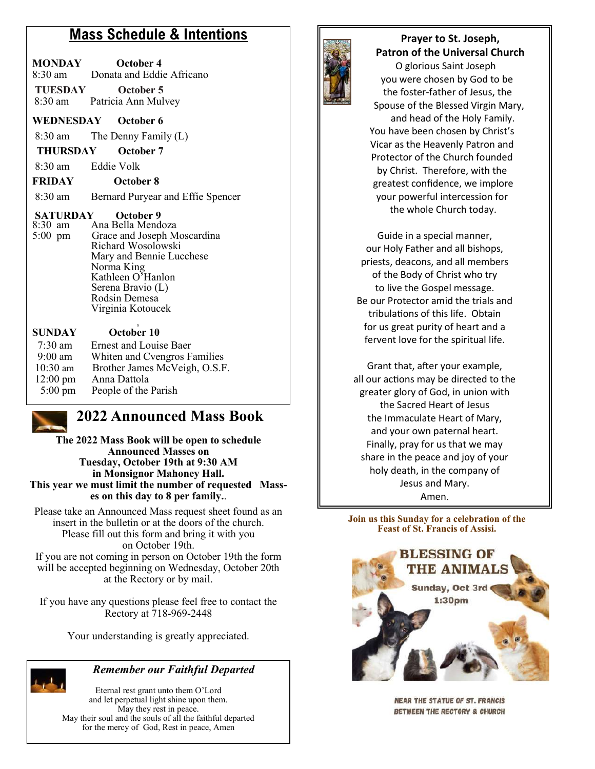## **Mass Schedule & Intentions**

| <b>MONDAY</b><br>$8:30 \text{ am}$ | October 4<br>Donata and Eddie Africano   |  |
|------------------------------------|------------------------------------------|--|
| <b>TUESDAY</b>                     | October 5<br>8:30 am Patricia Ann Mulvey |  |
| WEDNESDAY                          | October 6                                |  |

8:30 am The Denny Family (L)

**THURSDAY October 7**

8:30 am Eddie Volk

#### **FRIDAY October 8**

8:30 am Bernard Puryear and Effie Spencer

# **SATURDAY** October 9<br>8:30 am Ana Bella Mend

Ana Bella Mendoza 5:00 pm Grace and Joseph Moscardina Richard Wosolowski Mary and Bennie Lucchese Norma King Kathleen O'Hanlon Serena Bravio (L) Rodsin Demesa Virginia Kotoucek

| <b>SUNDAY</b>      | October 10                    |
|--------------------|-------------------------------|
| $7:30$ am          | <b>Ernest and Louise Baer</b> |
| $9:00$ am          | Whiten and Cvengros Families  |
| $10:30$ am         | Brother James McVeigh, O.S.F. |
| $12:00 \text{ pm}$ | Anna Dattola                  |
| $5:00 \text{ pm}$  | People of the Parish          |

## **2022 Announced Mass Book**

**The 2022 Mass Book will be open to schedule Announced Masses on Tuesday, October 19th at 9:30 AM in Monsignor Mahoney Hall. This year we must limit the number of requested Masses on this day to 8 per family.**.

Please take an Announced Mass request sheet found as an insert in the bulletin or at the doors of the church. Please fill out this form and bring it with you on October 19th. If you are not coming in person on October 19th the form will be accepted beginning on Wednesday, October 20th at the Rectory or by mail.

If you have any questions please feel free to contact the Rectory at 718-969-2448

Your understanding is greatly appreciated.



#### *Remember our Faithful Departed*

Eternal rest grant unto them O'Lord and let perpetual light shine upon them. May they rest in peace. May their soul and the souls of all the faithful departed for the mercy of God, Rest in peace, Amen



#### **Prayer to St. Joseph, Patron of the Universal Church**

 O glorious Saint Joseph you were chosen by God to be the foster-father of Jesus, the Spouse of the Blessed Virgin Mary, and head of the Holy Family. You have been chosen by Christ's Vicar as the Heavenly Patron and Protector of the Church founded by Christ. Therefore, with the greatest confidence, we implore your powerful intercession for the whole Church today.

Guide in a special manner, our Holy Father and all bishops, priests, deacons, and all members of the Body of Christ who try to live the Gospel message. Be our Protector amid the trials and tribulations of this life. Obtain for us great purity of heart and a fervent love for the spiritual life.

Grant that, after your example, all our actions may be directed to the greater glory of God, in union with the Sacred Heart of Jesus the Immaculate Heart of Mary, and your own paternal heart. Finally, pray for us that we may share in the peace and joy of your holy death, in the company of Jesus and Mary. Amen.

**Join us this Sunday for a celebration of the Feast of St. Francis of Assisi.**



**NEAR THE STATUE OF ST. FRANCIS** BETWEEN THE RECTORY & CHURCH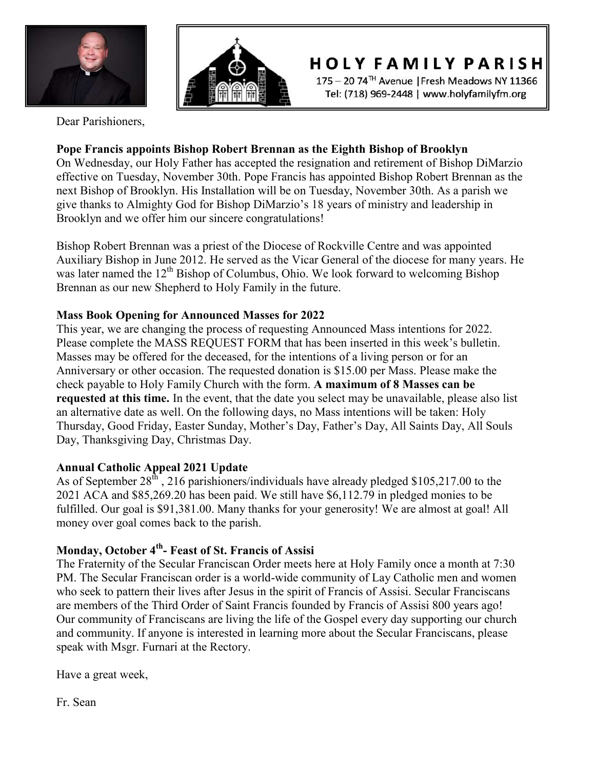



**HOLY FAMILY PARISH** 

175 - 20 74<sup>TH</sup> Avenue | Fresh Meadows NY 11366 Tel: (718) 969-2448 | www.holyfamilyfm.org

Dear Parishioners,

#### **Pope Francis appoints Bishop Robert Brennan as the Eighth Bishop of Brooklyn**

On Wednesday, our Holy Father has accepted the resignation and retirement of Bishop DiMarzio effective on Tuesday, November 30th. Pope Francis has appointed Bishop Robert Brennan as the next Bishop of Brooklyn. His Installation will be on Tuesday, November 30th. As a parish we give thanks to Almighty God for Bishop DiMarzio's 18 years of ministry and leadership in Brooklyn and we offer him our sincere congratulations!

Bishop Robert Brennan was a priest of the Diocese of Rockville Centre and was appointed Auxiliary Bishop in June 2012. He served as the Vicar General of the diocese for many years. He was later named the  $12<sup>th</sup>$  Bishop of Columbus, Ohio. We look forward to welcoming Bishop Brennan as our new Shepherd to Holy Family in the future.

#### **Mass Book Opening for Announced Masses for 2022**

This year, we are changing the process of requesting Announced Mass intentions for 2022. Please complete the MASS REQUEST FORM that has been inserted in this week's bulletin. Masses may be offered for the deceased, for the intentions of a living person or for an Anniversary or other occasion. The requested donation is \$15.00 per Mass. Please make the check payable to Holy Family Church with the form. **A maximum of 8 Masses can be requested at this time.** In the event, that the date you select may be unavailable, please also list an alternative date as well. On the following days, no Mass intentions will be taken: Holy Thursday, Good Friday, Easter Sunday, Mother's Day, Father's Day, All Saints Day, All Souls Day, Thanksgiving Day, Christmas Day.

#### **Annual Catholic Appeal 2021 Update**

As of September  $28^{th}$ , 216 parishioners/individuals have already pledged \$105,217.00 to the 2021 ACA and \$85,269.20 has been paid. We still have \$6,112.79 in pledged monies to be fulfilled. Our goal is \$91,381.00. Many thanks for your generosity! We are almost at goal! All money over goal comes back to the parish.

#### **Monday, October 4th - Feast of St. Francis of Assisi**

The Fraternity of the Secular Franciscan Order meets here at Holy Family once a month at 7:30 PM. The Secular Franciscan order is a world-wide community of Lay Catholic men and women who seek to pattern their lives after Jesus in the spirit of Francis of Assisi. Secular Franciscans are members of the Third Order of Saint Francis founded by Francis of Assisi 800 years ago! Our community of Franciscans are living the life of the Gospel every day supporting our church and community. If anyone is interested in learning more about the Secular Franciscans, please speak with Msgr. Furnari at the Rectory.

Have a great week,

Fr. Sean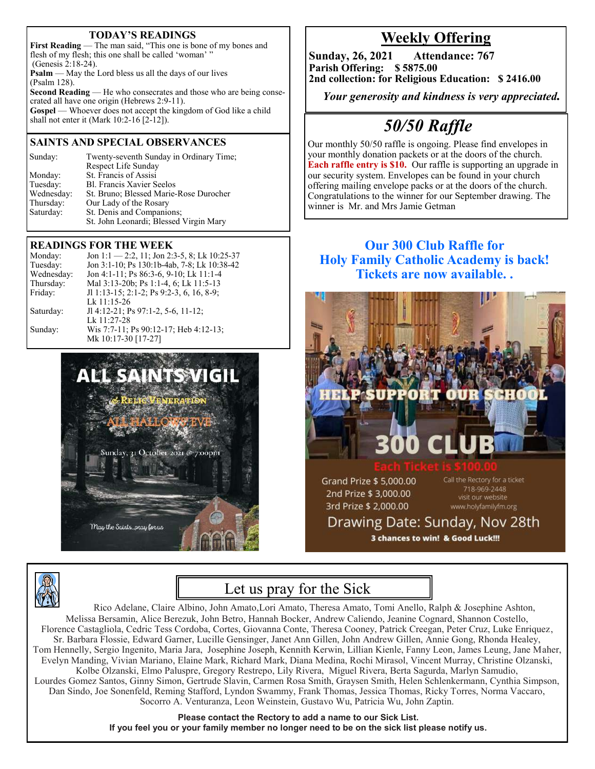#### **TODAY'S READINGS**

**First Reading** — The man said, "This one is bone of my bones and flesh of my flesh; this one shall be called 'woman'' (Genesis 2:18-24). **Psalm** — May the Lord bless us all the days of our lives (Psalm 128). **Second Reading** — He who consecrates and those who are being consecrated all have one origin (Hebrews 2:9-11). **Gospel** — Whoever does not accept the kingdom of God like a child shall not enter it (Mark 10:2-16 [2-12]).

#### **SAINTS AND SPECIAL OBSERVANCES**

| Sunday:    | Twenty-seventh Sunday in Ordinary Time; |
|------------|-----------------------------------------|
|            | Respect Life Sunday                     |
| Monday:    | St. Francis of Assisi                   |
| Tuesday:   | <b>Bl. Francis Xavier Seelos</b>        |
| Wednesday: | St. Bruno; Blessed Marie-Rose Durocher  |
| Thursday:  | Our Lady of the Rosary                  |
| Saturday:  | St. Denis and Companions;               |
|            | St. John Leonardi; Blessed Virgin Mary  |
|            |                                         |

#### **READINGS FOR THE WEEK**

| Monday:    | Jon 1:1 - 2:2, 11; Jon 2:3-5, 8; Lk 10:25-37 |
|------------|----------------------------------------------|
| Tuesday:   | Jon 3:1-10; Ps 130:1b-4ab, 7-8; Lk 10:38-42  |
| Wednesday: | Jon 4:1-11; Ps 86:3-6, 9-10; Lk 11:1-4       |
| Thursday:  | Mal 3:13-20b; Ps 1:1-4, 6; Lk 11:5-13        |
| Friday:    | Jl 1:13-15; 2:1-2; Ps 9:2-3, 6, 16, 8-9;     |
|            | Lk 11:15-26                                  |
| Saturday:  | Jl 4:12-21; Ps 97:1-2, 5-6, 11-12;           |
|            | Lk 11:27-28                                  |
| Sunday:    | Wis 7:7-11; Ps 90:12-17; Heb 4:12-13;        |
|            | Mk 10:17-30 [17-27]                          |
|            |                                              |





## **Weekly Offering**

**Sunday, 26, 2021 Attendance: 767 Parish Offering: \$ 5875.00 2nd collection: for Religious Education: \$ 2416.00**

 *Your generosity and kindness is very appreciated.* 

# *50/50 Raffle*

Our monthly 50/50 raffle is ongoing. Please find envelopes in your monthly donation packets or at the doors of the church. **Each raffle entry is \$10.** Our raffle is supporting an upgrade in our security system. Envelopes can be found in your church offering mailing envelope packs or at the doors of the church. Congratulations to the winner for our September drawing. The winner is Mr. and Mrs Jamie Getman

#### **Our 300 Club Raffle for Holy Family Catholic Academy is back! Tickets are now available. .**



Drawing Date: Sunday, Nov 28th 3 chances to win! & Good Luck!!!

# Let us pray for the Sick

Rico Adelane, Claire Albino, John Amato,Lori Amato, Theresa Amato, Tomi Anello, Ralph & Josephine Ashton, Melissa Bersamin, Alice Berezuk, John Betro, Hannah Bocker, Andrew Caliendo, Jeanine Cognard, Shannon Costello, Florence Castagliola, Cedric Tess Cordoba, Cortes, Giovanna Conte, Theresa Cooney, Patrick Creegan, Peter Cruz, Luke Enriquez, Sr. Barbara Flossie, Edward Garner, Lucille Gensinger, Janet Ann Gillen, John Andrew Gillen, Annie Gong, Rhonda Healey, Tom Hennelly, Sergio Ingenito, Maria Jara, Josephine Joseph, Kennith Kerwin, Lillian Kienle, Fanny Leon, James Leung, Jane Maher, Evelyn Manding, Vivian Mariano, Elaine Mark, Richard Mark, Diana Medina, Rochi Mirasol, Vincent Murray, Christine Olzanski, Kolbe Olzanski, Elmo Paluspre, Gregory Restrepo, Lily Rivera, Miguel Rivera, Berta Sagurda, Marlyn Samudio, Lourdes Gomez Santos, Ginny Simon, Gertrude Slavin, Carmen Rosa Smith, Graysen Smith, Helen Schlenkermann, Cynthia Simpson, Dan Sindo, Joe Sonenfeld, Reming Stafford, Lyndon Swammy, Frank Thomas, Jessica Thomas, Ricky Torres, Norma Vaccaro, Socorro A. Venturanza, Leon Weinstein, Gustavo Wu, Patricia Wu, John Zaptin.

> **Please contact the Rectory to add a name to our Sick List. If you feel you or your family member no longer need to be on the sick list please notify us.**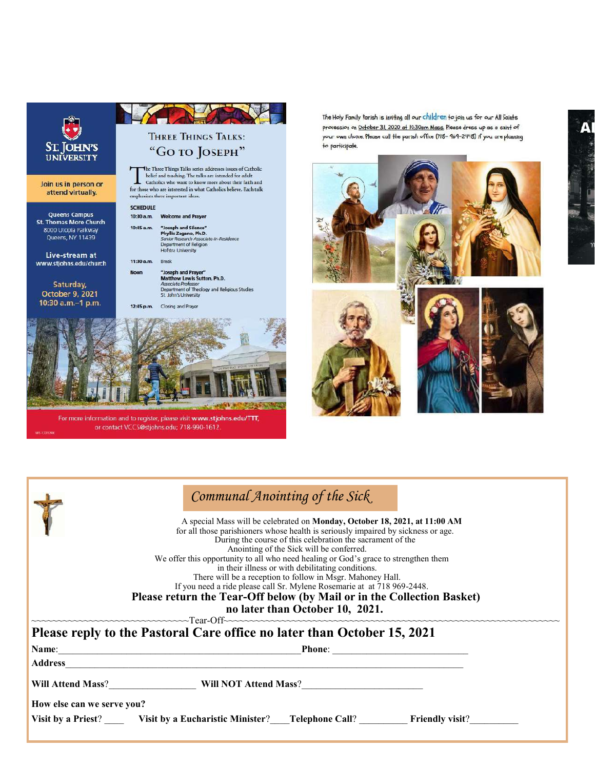

For more information and to register, please visit www.stjohns.edu/TTT, or contact VCCS@stjohns.edu; 718-990-1612.

The Holy Family Parish is inviting all our children to join us for our All Saints procession on October 31, 2020 of 10:30am Mass. Please dress up as a saint of your own choice. Please call the parish office (718- 969-2448) if you are planning to participate.



| Communal Anointing of the Sick |  |
|--------------------------------|--|
|--------------------------------|--|

 A special Mass will be celebrated on **Monday, October 18, 2021, at 11:00 AM**  for all those parishioners whose health is seriously impaired by sickness or age. During the course of this celebration the sacrament of the Anointing of the Sick will be conferred. We offer this opportunity to all who need healing or God's grace to strengthen them in their illness or with debilitating conditions. There will be a reception to follow in Msgr. Mahoney Hall. If you need a ride please call Sr. Mylene Rosemarie at at 718 969-2448. **Please return the Tear-Off below (by Mail or in the Collection Basket)**

**no later than October 10, 2021.**<br>Tear-Off ~~~~~~~~~~~~~~~~~~~~~~~~~~~~~~Tear-Off~~~~~~~~~~~~~~~~~~~~~~~~~~~~~~~~~~~~~~~~~~~~~~~~~~~~~~~~~~~~~~~~

**Please reply to the Pastoral Care office no later than October 15, 2021 Name: Phone**: *Phone***:** *Phone***:** *Phone***:** *Phone***:** *Phone***:** *Phone***:** *<b>Phone: <i>Phone***:** *Phone***:** *Phone***:** *Phone***:** *<b>Phone: <i>Phone***:** *Phone***:** *Phone***:** *<b>Phone: <i>Phone***:** *Phone***:** *Phone***: Address**\_\_\_\_\_\_\_\_\_\_\_\_\_\_\_\_\_\_\_\_\_\_\_\_\_\_\_\_\_\_\_\_\_\_\_\_\_\_\_\_\_\_\_\_\_\_\_\_\_\_\_\_\_\_\_\_\_\_\_\_\_\_\_\_\_\_\_\_\_\_\_\_\_\_\_\_\_\_\_\_\_\_ Will Attend Mass?\_\_\_\_\_\_\_\_\_\_\_\_\_\_\_\_\_\_\_\_\_\_\_\_\_\_ Will NOT Attend Mass?\_\_\_\_\_\_\_\_\_\_\_\_\_\_\_ **How else can we serve you? Visit by a Priest? Visit by a Eucharistic Minister? Telephone Call? Friendly visit? Friendly visit**?